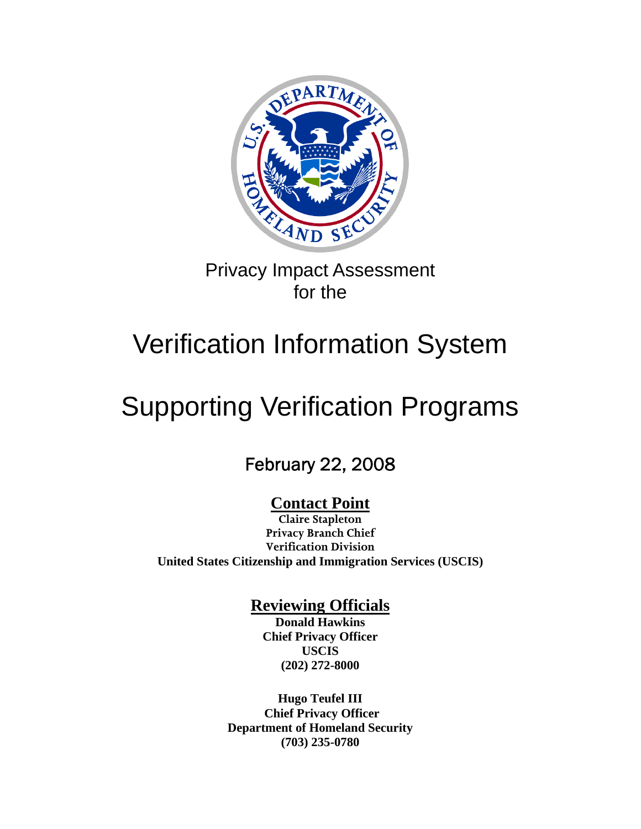

# Privacy Impact Assessment for the

# Verification Information System

# Supporting Verification Programs

# February 22, 2008

# **Contact Point**

**Claire Stapleton Privacy Branch Chief Verification Division United States Citizenship and Immigration Services (USCIS)** 

## **Reviewing Officials**

**Donald Hawkins Chief Privacy Officer USCIS (202) 272-8000** 

**Hugo Teufel III Chief Privacy Officer Department of Homeland Security (703) 235-0780**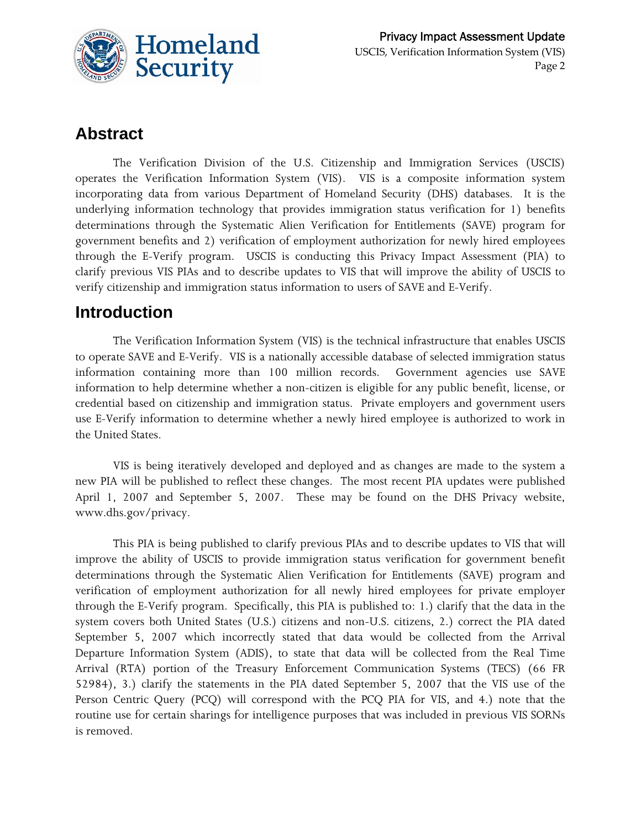

# **Abstract**

 The Verification Division of the U.S. Citizenship and Immigration Services (USCIS) operates the Verification Information System (VIS). VIS is a composite information system incorporating data from various Department of Homeland Security (DHS) databases. It is the underlying information technology that provides immigration status verification for 1) benefits determinations through the Systematic Alien Verification for Entitlements (SAVE) program for government benefits and 2) verification of employment authorization for newly hired employees through the E-Verify program. USCIS is conducting this Privacy Impact Assessment (PIA) to clarify previous VIS PIAs and to describe updates to VIS that will improve the ability of USCIS to verify citizenship and immigration status information to users of SAVE and E-Verify.

## **Introduction**

 The Verification Information System (VIS) is the technical infrastructure that enables USCIS to operate SAVE and E-Verify. VIS is a nationally accessible database of selected immigration status information containing more than 100 million records. Government agencies use SAVE information to help determine whether a non-citizen is eligible for any public benefit, license, or credential based on citizenship and immigration status. Private employers and government users use E-Verify information to determine whether a newly hired employee is authorized to work in the United States.

 VIS is being iteratively developed and deployed and as changes are made to the system a new PIA will be published to reflect these changes. The most recent PIA updates were published April 1, 2007 and September 5, 2007. These may be found on the DHS Privacy website, [www.dhs.gov/privacy.](http://www.dhs.gov/privacy)

 This PIA is being published to clarify previous PIAs and to describe updates to VIS that will improve the ability of USCIS to provide immigration status verification for government benefit determinations through the Systematic Alien Verification for Entitlements (SAVE) program and verification of employment authorization for all newly hired employees for private employer through the E-Verify program. Specifically, this PIA is published to: 1.) clarify that the data in the system covers both United States (U.S.) citizens and non-U.S. citizens, 2.) correct the PIA dated September 5, 2007 which incorrectly stated that data would be collected from the Arrival Departure Information System (ADIS), to state that data will be collected from the Real Time Arrival (RTA) portion of the Treasury Enforcement Communication Systems (TECS) (66 FR 52984), 3.) clarify the statements in the PIA dated September 5, 2007 that the VIS use of the Person Centric Query (PCQ) will correspond with the PCQ PIA for VIS, and 4.) note that the routine use for certain sharings for intelligence purposes that was included in previous VIS SORNs is removed.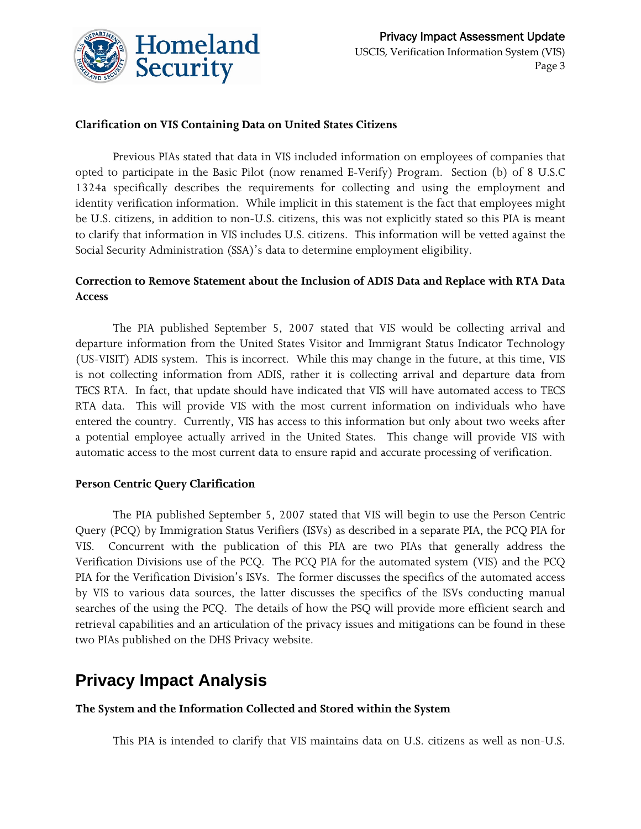

#### **Clarification on VIS Containing Data on United States Citizens**

 Previous PIAs stated that data in VIS included information on employees of companies that opted to participate in the Basic Pilot (now renamed E-Verify) Program. Section (b) of 8 U.S.C 1324a specifically describes the requirements for collecting and using the employment and identity verification information. While implicit in this statement is the fact that employees might be U.S. citizens, in addition to non-U.S. citizens, this was not explicitly stated so this PIA is meant to clarify that information in VIS includes U.S. citizens. This information will be vetted against the Social Security Administration (SSA)'s data to determine employment eligibility.

#### **Correction to Remove Statement about the Inclusion of ADIS Data and Replace with RTA Data Access**

 The PIA published September 5, 2007 stated that VIS would be collecting arrival and departure information from the United States Visitor and Immigrant Status Indicator Technology (US-VISIT) ADIS system. This is incorrect. While this may change in the future, at this time, VIS is not collecting information from ADIS, rather it is collecting arrival and departure data from TECS RTA. In fact, that update should have indicated that VIS will have automated access to TECS RTA data. This will provide VIS with the most current information on individuals who have entered the country. Currently, VIS has access to this information but only about two weeks after a potential employee actually arrived in the United States. This change will provide VIS with automatic access to the most current data to ensure rapid and accurate processing of verification.

#### **Person Centric Query Clarification**

 The PIA published September 5, 2007 stated that VIS will begin to use the Person Centric Query (PCQ) by Immigration Status Verifiers (ISVs) as described in a separate PIA, the PCQ PIA for VIS. Concurrent with the publication of this PIA are two PIAs that generally address the Verification Divisions use of the PCQ. The PCQ PIA for the automated system (VIS) and the PCQ PIA for the Verification Division's ISVs. The former discusses the specifics of the automated access by VIS to various data sources, the latter discusses the specifics of the ISVs conducting manual searches of the using the PCQ. The details of how the PSQ will provide more efficient search and retrieval capabilities and an articulation of the privacy issues and mitigations can be found in these two PIAs published on the DHS Privacy website.

### **Privacy Impact Analysis**

#### **The System and the Information Collected and Stored within the System**

This PIA is intended to clarify that VIS maintains data on U.S. citizens as well as non-U.S.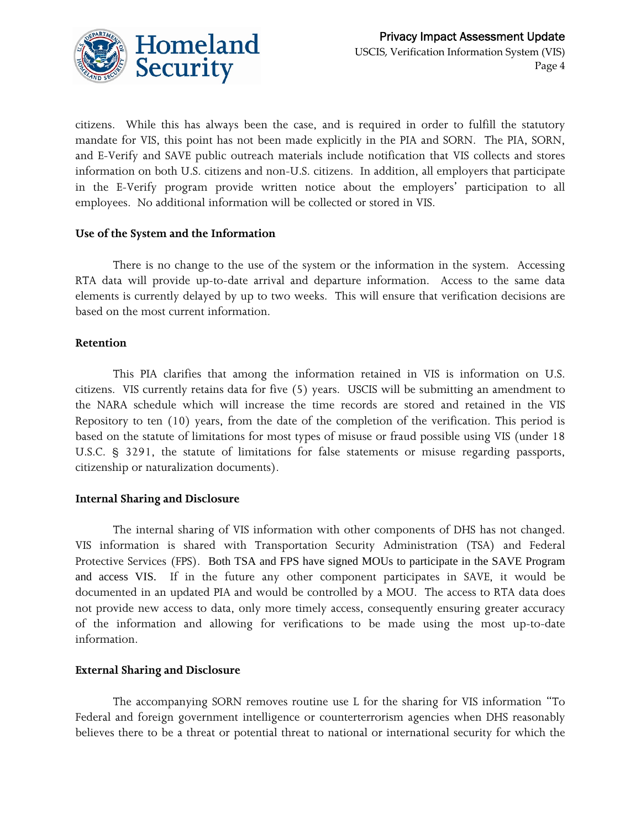

citizens. While this has always been the case, and is required in order to fulfill the statutory mandate for VIS, this point has not been made explicitly in the PIA and SORN. The PIA, SORN, and E-Verify and SAVE public outreach materials include notification that VIS collects and stores information on both U.S. citizens and non-U.S. citizens. In addition, all employers that participate in the E-Verify program provide written notice about the employers' participation to all employees. No additional information will be collected or stored in VIS.

#### **Use of the System and the Information**

 There is no change to the use of the system or the information in the system. Accessing RTA data will provide up-to-date arrival and departure information. Access to the same data elements is currently delayed by up to two weeks. This will ensure that verification decisions are based on the most current information.

#### **Retention**

 This PIA clarifies that among the information retained in VIS is information on U.S. citizens. VIS currently retains data for five (5) years. USCIS will be submitting an amendment to the NARA schedule which will increase the time records are stored and retained in the VIS Repository to ten (10) years, from the date of the completion of the verification. This period is based on the statute of limitations for most types of misuse or fraud possible using VIS (under 18 U.S.C. § 3291, the statute of limitations for false statements or misuse regarding passports, citizenship or naturalization documents).

#### **Internal Sharing and Disclosure**

 The internal sharing of VIS information with other components of DHS has not changed. VIS information is shared with Transportation Security Administration (TSA) and Federal Protective Services (FPS). Both TSA and FPS have signed MOUs to participate in the SAVE Program and access VIS. If in the future any other component participates in SAVE, it would be documented in an updated PIA and would be controlled by a MOU. The access to RTA data does not provide new access to data, only more timely access, consequently ensuring greater accuracy of the information and allowing for verifications to be made using the most up-to-date information.

#### **External Sharing and Disclosure**

 The accompanying SORN removes routine use L for the sharing for VIS information "To Federal and foreign government intelligence or counterterrorism agencies when DHS reasonably believes there to be a threat or potential threat to national or international security for which the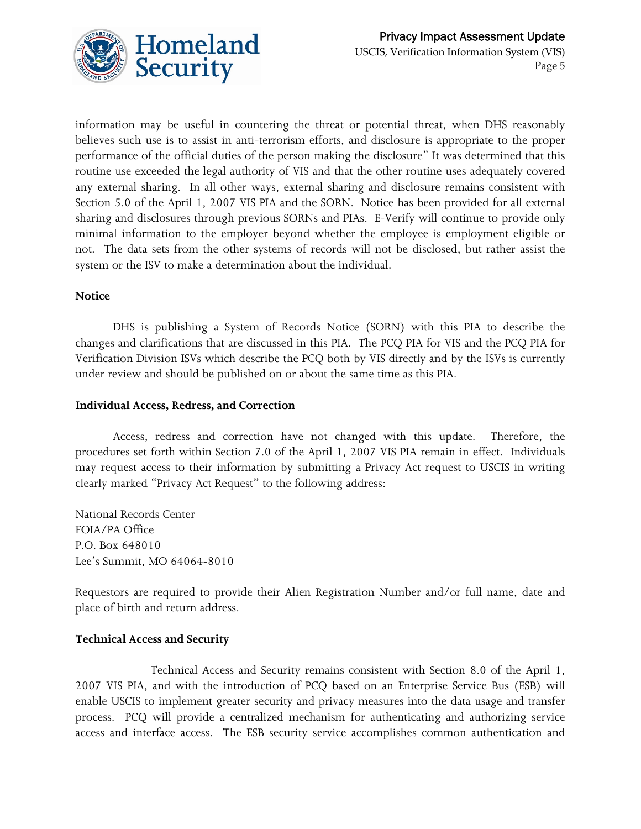

information may be useful in countering the threat or potential threat, when DHS reasonably believes such use is to assist in anti-terrorism efforts, and disclosure is appropriate to the proper performance of the official duties of the person making the disclosure" It was determined that this routine use exceeded the legal authority of VIS and that the other routine uses adequately covered any external sharing. In all other ways, external sharing and disclosure remains consistent with Section 5.0 of the April 1, 2007 VIS PIA and the SORN. Notice has been provided for all external sharing and disclosures through previous SORNs and PIAs. E-Verify will continue to provide only minimal information to the employer beyond whether the employee is employment eligible or not. The data sets from the other systems of records will not be disclosed, but rather assist the system or the ISV to make a determination about the individual.

#### **Notice**

 DHS is publishing a System of Records Notice (SORN) with this PIA to describe the changes and clarifications that are discussed in this PIA. The PCQ PIA for VIS and the PCQ PIA for Verification Division ISVs which describe the PCQ both by VIS directly and by the ISVs is currently under review and should be published on or about the same time as this PIA.

#### **Individual Access, Redress, and Correction**

 Access, redress and correction have not changed with this update. Therefore, the procedures set forth within Section 7.0 of the April 1, 2007 VIS PIA remain in effect. Individuals may request access to their information by submitting a Privacy Act request to USCIS in writing clearly marked "Privacy Act Request" to the following address:

National Records Center FOIA/PA Office P.O. Box 648010 Lee's Summit, MO 64064-8010

Requestors are required to provide their Alien Registration Number and/or full name, date and place of birth and return address.

#### **Technical Access and Security**

 Technical Access and Security remains consistent with Section 8.0 of the April 1, 2007 VIS PIA, and with the introduction of PCQ based on an Enterprise Service Bus (ESB) will enable USCIS to implement greater security and privacy measures into the data usage and transfer process. PCQ will provide a centralized mechanism for authenticating and authorizing service access and interface access. The ESB security service accomplishes common authentication and